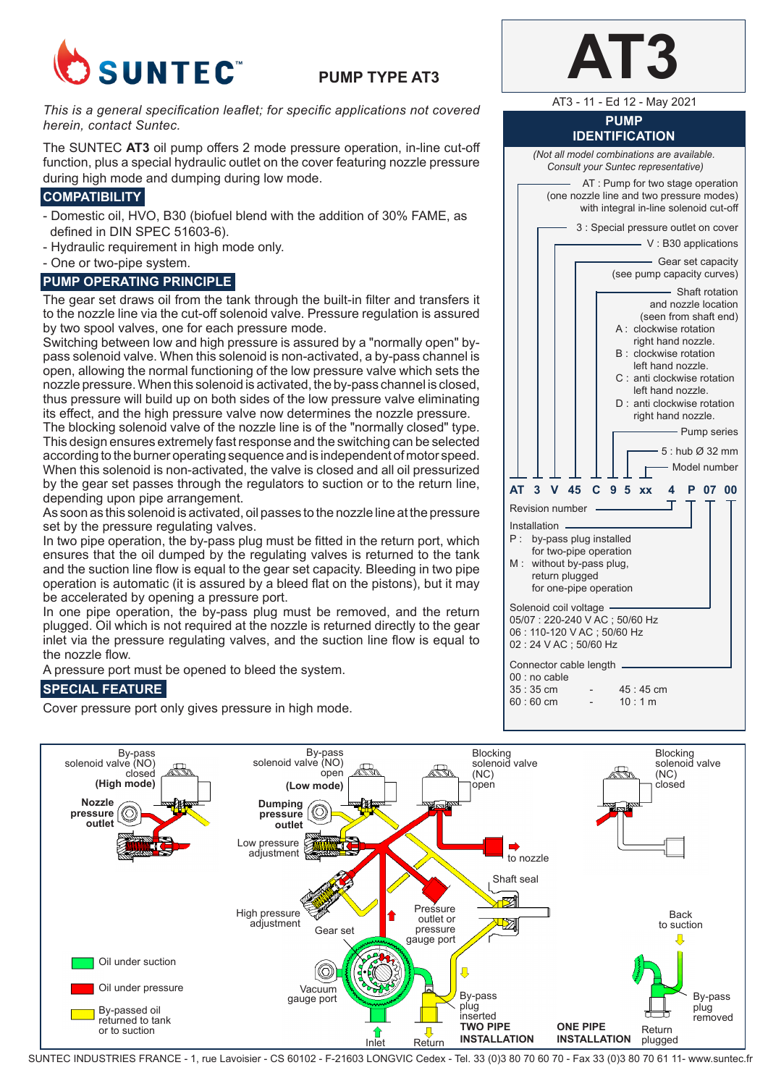

# **PUMP TYPE AT3**

*This is a general specification leaflet; for specific applications not covered herein, contact Suntec.*

The SUNTEC **AT3** oil pump offers 2 mode pressure operation, in-line cut-off function, plus a special hydraulic outlet on the cover featuring nozzle pressure during high mode and dumping during low mode.

# **COMPATIBILITY**

- Domestic oil, HVO, B30 (biofuel blend with the addition of 30% FAME, as defined in DIN SPEC 51603-6).
- Hydraulic requirement in high mode only.
- One or two-pipe system.

# **PUMP OPERATING PRINCIPLE**

The gear set draws oil from the tank through the built-in filter and transfers it to the nozzle line via the cut-off solenoid valve. Pressure regulation is assured by two spool valves, one for each pressure mode.

Switching between low and high pressure is assured by a "normally open" bypass solenoid valve. When this solenoid is non-activated, a by-pass channel is open, allowing the normal functioning of the low pressure valve which sets the nozzle pressure. When this solenoid is activated, the by-pass channel is closed, thus pressure will build up on both sides of the low pressure valve eliminating its effect, and the high pressure valve now determines the nozzle pressure.

The blocking solenoid valve of the nozzle line is of the "normally closed" type. This design ensures extremely fast response and the switching can be selected according to the burner operating sequence and is independent of motor speed. When this solenoid is non-activated, the valve is closed and all oil pressurized by the gear set passes through the regulators to suction or to the return line, depending upon pipe arrangement.

As soon as this solenoid is activated, oil passes to the nozzle line at the pressure set by the pressure regulating valves.

In two pipe operation, the by-pass plug must be fitted in the return port, which ensures that the oil dumped by the regulating valves is returned to the tank and the suction line flow is equal to the gear set capacity. Bleeding in two pipe operation is automatic (it is assured by a bleed flat on the pistons), but it may be accelerated by opening a pressure port.

In one pipe operation, the by-pass plug must be removed, and the return plugged. Oil which is not required at the nozzle is returned directly to the gear inlet via the pressure regulating valves, and the suction line flow is equal to the nozzle flow.

A pressure port must be opened to bleed the system.

# **SPECIAL FEATURE**

Cover pressure port only gives pressure in high mode.

AT3 - 11 - Ed 12 - May 2021

#### **PUMP IDENTIFICATION**

*(Not all model combinations are available. Consult your Suntec representative)* AT : Pump for two stage operation (one nozzle line and two pressure modes)

with integral in-line solenoid cut-off

3 : Special pressure outlet on cover - V: B30 applications - Gear set capacity (see pump capacity curves)



| 00 : no cable |            |  |
|---------------|------------|--|
| 35 : 35 cm    | $45:45$ cm |  |
| 60 : 60 cm    | 10:1 m     |  |
|               |            |  |



SUNTEC INDUSTRIES FRANCE - 1, rue Lavoisier - CS 60102 - F-21603 LONGVIC Cedex - Tel. 33 (0)3 80 70 60 70 - Fax 33 (0)3 80 70 61 11- www.suntec.fr